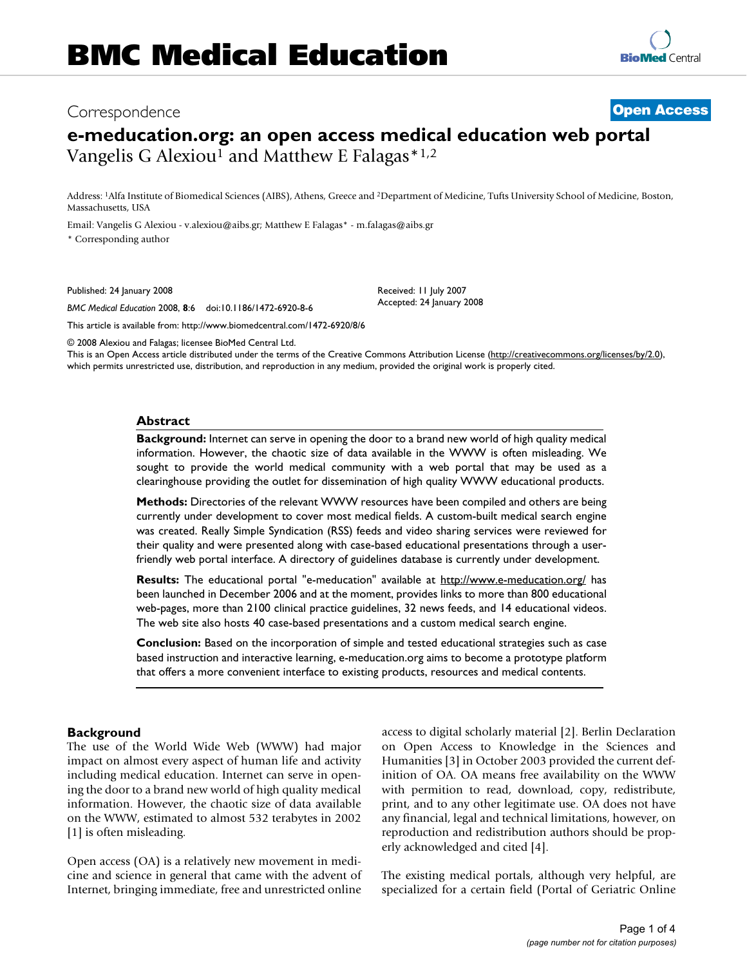# Correspondence **[Open Access](http://www.biomedcentral.com/info/about/charter/)**

# **e-meducation.org: an open access medical education web portal** Vangelis G Alexiou<sup>1</sup> and Matthew E Falagas<sup>\*1,2</sup>

Address: 1Alfa Institute of Biomedical Sciences (AIBS), Athens, Greece and 2Department of Medicine, Tufts University School of Medicine, Boston, Massachusetts, USA

> Received: 11 July 2007 Accepted: 24 January 2008

Email: Vangelis G Alexiou - v.alexiou@aibs.gr; Matthew E Falagas  $*$  - m.falagas@aibs.gr \* Corresponding author

Published: 24 January 2008

*BMC Medical Education* 2008, **8**:6 doi:10.1186/1472-6920-8-6

[This article is available from: http://www.biomedcentral.com/1472-6920/8/6](http://www.biomedcentral.com/1472-6920/8/6)

© 2008 Alexiou and Falagas; licensee BioMed Central Ltd.

This is an Open Access article distributed under the terms of the Creative Commons Attribution License [\(http://creativecommons.org/licenses/by/2.0\)](http://creativecommons.org/licenses/by/2.0), which permits unrestricted use, distribution, and reproduction in any medium, provided the original work is properly cited.

#### **Abstract**

**Background:** Internet can serve in opening the door to a brand new world of high quality medical information. However, the chaotic size of data available in the WWW is often misleading. We sought to provide the world medical community with a web portal that may be used as a clearinghouse providing the outlet for dissemination of high quality WWW educational products.

**Methods:** Directories of the relevant WWW resources have been compiled and others are being currently under development to cover most medical fields. A custom-built medical search engine was created. Really Simple Syndication (RSS) feeds and video sharing services were reviewed for their quality and were presented along with case-based educational presentations through a userfriendly web portal interface. A directory of guidelines database is currently under development.

**Results:** The educational portal "e-meducation" available at <http://www.e-meducation.org/> has been launched in December 2006 and at the moment, provides links to more than 800 educational web-pages, more than 2100 clinical practice guidelines, 32 news feeds, and 14 educational videos. The web site also hosts 40 case-based presentations and a custom medical search engine.

**Conclusion:** Based on the incorporation of simple and tested educational strategies such as case based instruction and interactive learning, e-meducation.org aims to become a prototype platform that offers a more convenient interface to existing products, resources and medical contents.

### **Background**

The use of the World Wide Web (WWW) had major impact on almost every aspect of human life and activity including medical education. Internet can serve in opening the door to a brand new world of high quality medical information. However, the chaotic size of data available on the WWW, estimated to almost 532 terabytes in 2002 [1] is often misleading.

Open access (OA) is a relatively new movement in medicine and science in general that came with the advent of Internet, bringing immediate, free and unrestricted online access to digital scholarly material [2]. Berlin Declaration on Open Access to Knowledge in the Sciences and Humanities [3] in October 2003 provided the current definition of OA. OA means free availability on the WWW with permition to read, download, copy, redistribute, print, and to any other legitimate use. OA does not have any financial, legal and technical limitations, however, on reproduction and redistribution authors should be properly acknowledged and cited [4].

The existing medical portals, although very helpful, are specialized for a certain field (Portal of Geriatric Online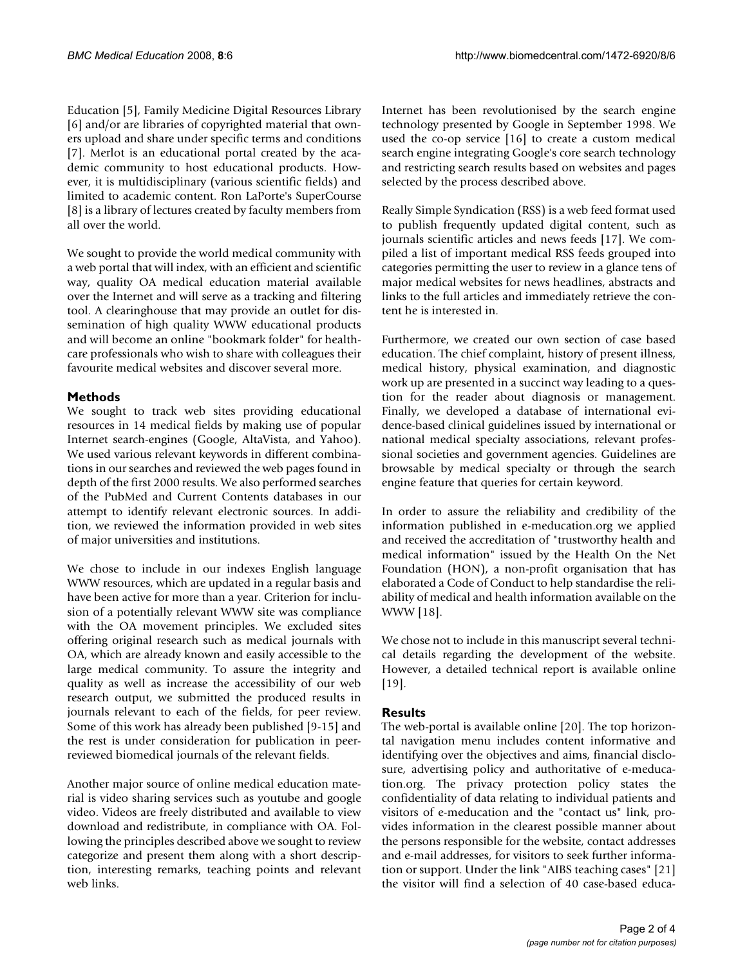Education [5], Family Medicine Digital Resources Library [6] and/or are libraries of copyrighted material that owners upload and share under specific terms and conditions [7]. Merlot is an educational portal created by the academic community to host educational products. However, it is multidisciplinary (various scientific fields) and limited to academic content. Ron LaPorte's SuperCourse [8] is a library of lectures created by faculty members from all over the world.

We sought to provide the world medical community with a web portal that will index, with an efficient and scientific way, quality OA medical education material available over the Internet and will serve as a tracking and filtering tool. A clearinghouse that may provide an outlet for dissemination of high quality WWW educational products and will become an online "bookmark folder" for healthcare professionals who wish to share with colleagues their favourite medical websites and discover several more.

# **Methods**

We sought to track web sites providing educational resources in 14 medical fields by making use of popular Internet search-engines (Google, AltaVista, and Yahoo). We used various relevant keywords in different combinations in our searches and reviewed the web pages found in depth of the first 2000 results. We also performed searches of the PubMed and Current Contents databases in our attempt to identify relevant electronic sources. In addition, we reviewed the information provided in web sites of major universities and institutions.

We chose to include in our indexes English language WWW resources, which are updated in a regular basis and have been active for more than a year. Criterion for inclusion of a potentially relevant WWW site was compliance with the OA movement principles. We excluded sites offering original research such as medical journals with OA, which are already known and easily accessible to the large medical community. To assure the integrity and quality as well as increase the accessibility of our web research output, we submitted the produced results in journals relevant to each of the fields, for peer review. Some of this work has already been published [9-15] and the rest is under consideration for publication in peerreviewed biomedical journals of the relevant fields.

Another major source of online medical education material is video sharing services such as youtube and google video. Videos are freely distributed and available to view download and redistribute, in compliance with OA. Following the principles described above we sought to review categorize and present them along with a short description, interesting remarks, teaching points and relevant web links.

Internet has been revolutionised by the search engine technology presented by Google in September 1998. We used the co-op service [16] to create a custom medical search engine integrating Google's core search technology and restricting search results based on websites and pages selected by the process described above.

Really Simple Syndication (RSS) is a web feed format used to publish frequently updated digital content, such as journals scientific articles and news feeds [17]. We compiled a list of important medical RSS feeds grouped into categories permitting the user to review in a glance tens of major medical websites for news headlines, abstracts and links to the full articles and immediately retrieve the content he is interested in.

Furthermore, we created our own section of case based education. The chief complaint, history of present illness, medical history, physical examination, and diagnostic work up are presented in a succinct way leading to a question for the reader about diagnosis or management. Finally, we developed a database of international evidence-based clinical guidelines issued by international or national medical specialty associations, relevant professional societies and government agencies. Guidelines are browsable by medical specialty or through the search engine feature that queries for certain keyword.

In order to assure the reliability and credibility of the information published in e-meducation.org we applied and received the accreditation of "trustworthy health and medical information" issued by the Health On the Net Foundation (HON), a non-profit organisation that has elaborated a Code of Conduct to help standardise the reliability of medical and health information available on the WWW [18].

We chose not to include in this manuscript several technical details regarding the development of the website. However, a detailed technical report is available online [19].

# **Results**

The web-portal is available online [20]. The top horizontal navigation menu includes content informative and identifying over the objectives and aims, financial disclosure, advertising policy and authoritative of e-meducation.org. The privacy protection policy states the confidentiality of data relating to individual patients and visitors of e-meducation and the "contact us" link, provides information in the clearest possible manner about the persons responsible for the website, contact addresses and e-mail addresses, for visitors to seek further information or support. Under the link "AIBS teaching cases" [21] the visitor will find a selection of 40 case-based educa-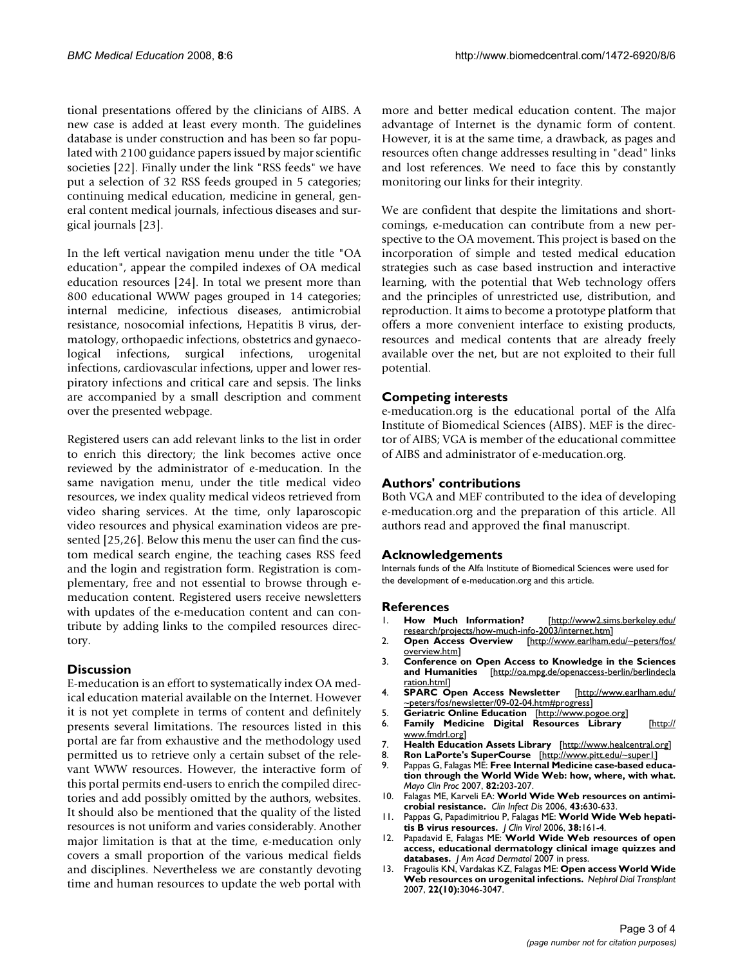tional presentations offered by the clinicians of AIBS. A new case is added at least every month. The guidelines database is under construction and has been so far populated with 2100 guidance papers issued by major scientific societies [22]. Finally under the link "RSS feeds" we have put a selection of 32 RSS feeds grouped in 5 categories; continuing medical education, medicine in general, general content medical journals, infectious diseases and surgical journals [23].

In the left vertical navigation menu under the title "OA education", appear the compiled indexes of OA medical education resources [24]. In total we present more than 800 educational WWW pages grouped in 14 categories; internal medicine, infectious diseases, antimicrobial resistance, nosocomial infections, Hepatitis B virus, dermatology, orthopaedic infections, obstetrics and gynaecological infections, surgical infections, urogenital infections, cardiovascular infections, upper and lower respiratory infections and critical care and sepsis. The links are accompanied by a small description and comment over the presented webpage.

Registered users can add relevant links to the list in order to enrich this directory; the link becomes active once reviewed by the administrator of e-meducation. In the same navigation menu, under the title medical video resources, we index quality medical videos retrieved from video sharing services. At the time, only laparoscopic video resources and physical examination videos are presented [25,26]. Below this menu the user can find the custom medical search engine, the teaching cases RSS feed and the login and registration form. Registration is complementary, free and not essential to browse through emeducation content. Registered users receive newsletters with updates of the e-meducation content and can contribute by adding links to the compiled resources directory.

# **Discussion**

E-meducation is an effort to systematically index OA medical education material available on the Internet. However it is not yet complete in terms of content and definitely presents several limitations. The resources listed in this portal are far from exhaustive and the methodology used permitted us to retrieve only a certain subset of the relevant WWW resources. However, the interactive form of this portal permits end-users to enrich the compiled directories and add possibly omitted by the authors, websites. It should also be mentioned that the quality of the listed resources is not uniform and varies considerably. Another major limitation is that at the time, e-meducation only covers a small proportion of the various medical fields and disciplines. Nevertheless we are constantly devoting time and human resources to update the web portal with more and better medical education content. The major advantage of Internet is the dynamic form of content. However, it is at the same time, a drawback, as pages and resources often change addresses resulting in "dead" links and lost references. We need to face this by constantly monitoring our links for their integrity.

We are confident that despite the limitations and shortcomings, e-meducation can contribute from a new perspective to the OA movement. This project is based on the incorporation of simple and tested medical education strategies such as case based instruction and interactive learning, with the potential that Web technology offers and the principles of unrestricted use, distribution, and reproduction. It aims to become a prototype platform that offers a more convenient interface to existing products, resources and medical contents that are already freely available over the net, but are not exploited to their full potential.

## **Competing interests**

e-meducation.org is the educational portal of the Alfa Institute of Biomedical Sciences (AIBS). MEF is the director of AIBS; VGA is member of the educational committee of AIBS and administrator of e-meducation.org.

# **Authors' contributions**

Both VGA and MEF contributed to the idea of developing e-meducation.org and the preparation of this article. All authors read and approved the final manuscript.

### **Acknowledgements**

Internals funds of the Alfa Institute of Biomedical Sciences were used for the development of e-meducation.org and this article.

### **References**

- 1. **How Much Information?** [[http://www2.sims.berkeley.edu/](http://www2.sims.berkeley.edu/research/projects/how-much-info-2003/internet.htm)
- [research/projects/how-much-info-2003/internet.htm](http://www2.sims.berkeley.edu/research/projects/how-much-info-2003/internet.htm)]<br>Open Access Overview [http://www.earlham.e 2. **Open Access Overview** [[http://www.earlham.edu/~peters/fos/](http://www.earlham.edu/~peters/fos/overview.htm) [overview.htm](http://www.earlham.edu/~peters/fos/overview.htm)]
- 3. **Conference on Open Access to Knowledge in the Sciences and Humanities** [\[http://oa.mpg.de/openaccess-berlin/berlindecla](http://oa.mpg.de/openaccess-berlin/berlindeclaration.html) [ration.html\]](http://oa.mpg.de/openaccess-berlin/berlindeclaration.html)
- 4. **SPARC Open Access Newsletter** [[http://www.earlham.edu/](http://www.earlham.edu/~peters/fos/newsletter/09-02-04.htm#progress) [~peters/fos/newsletter/09-02-04.htm#progress\]](http://www.earlham.edu/~peters/fos/newsletter/09-02-04.htm#progress)
- 
- 5. **Geriatric Online Education** [\[http://www.pogoe.org\]](http://www.pogoe.org) 6. **Family Medicine Digital Resources Library** [\[http://](http://www.fmdrl.org) [www.fmdrl.org\]](http://www.fmdrl.org)
- 7. **Health Education Assets Library** [\[http://www.healcentral.org\]](http://www.healcentral.org)
- 8. **Ron LaPorte's SuperCourse** [[http://www.pitt.edu/~super1\]](http://www.pitt.edu/~super1)<br>9. Pappas G, Falagas ME: Free Internal Medicine case-based ed
- Pappas G, Falagas ME: [Free Internal Medicine case-based educa](http://www.ncbi.nlm.nih.gov/entrez/query.fcgi?cmd=Retrieve&db=PubMed&dopt=Abstract&list_uids=17290728)**[tion through the World Wide Web: how, where, with what.](http://www.ncbi.nlm.nih.gov/entrez/query.fcgi?cmd=Retrieve&db=PubMed&dopt=Abstract&list_uids=17290728)** *Mayo Clin Proc* 2007, **82:**203-207.
- 10. Falagas ME, Karveli EA: **[World Wide Web resources on antimi](http://www.ncbi.nlm.nih.gov/entrez/query.fcgi?cmd=Retrieve&db=PubMed&dopt=Abstract&list_uids=16886158)[crobial resistance.](http://www.ncbi.nlm.nih.gov/entrez/query.fcgi?cmd=Retrieve&db=PubMed&dopt=Abstract&list_uids=16886158)** *Clin Infect Dis* 2006, **43:**630-633.
- 11. Pappas G, Papadimitriou P, Falagas ME: **[World Wide Web hepati](http://www.ncbi.nlm.nih.gov/entrez/query.fcgi?cmd=Retrieve&db=PubMed&dopt=Abstract&list_uids=17174595)[tis B virus resources.](http://www.ncbi.nlm.nih.gov/entrez/query.fcgi?cmd=Retrieve&db=PubMed&dopt=Abstract&list_uids=17174595)** *J Clin Virol* 2006, **38:**161-4.
- 12. Papadavid E, Falagas ME: **World Wide Web resources of open access, educational dermatology clinical image quizzes and databases.** *J Am Acad Dermatol* 2007 in press.
- 13. Fragoulis KN, Vardakas KZ, Falagas ME: **[Open access World Wide](http://www.ncbi.nlm.nih.gov/entrez/query.fcgi?cmd=Retrieve&db=PubMed&dopt=Abstract&list_uids=17575311) [Web resources on urogenital infections.](http://www.ncbi.nlm.nih.gov/entrez/query.fcgi?cmd=Retrieve&db=PubMed&dopt=Abstract&list_uids=17575311)** *Nephrol Dial Transplant* 2007, **22(10):**3046-3047.